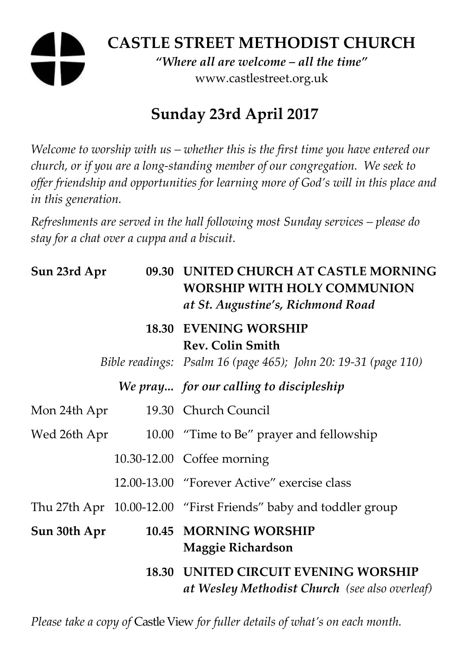# **CASTLE STREET METHODIST CHURCH**

*"Where all are welcome – all the time"*  www.castlestreet.org.uk

# **Sunday 23rd April 2017**

*Welcome to worship with us – whether this is the first time you have entered our church, or if you are a long-standing member of our congregation. We seek to offer friendship and opportunities for learning more of God's will in this place and in this generation.* 

*Refreshments are served in the hall following most Sunday services – please do stay for a chat over a cuppa and a biscuit.* 

| Sun 23rd Apr |  | 09.30 UNITED CHURCH AT CASTLE MORNING<br><b>WORSHIP WITH HOLY COMMUNION</b><br>at St. Augustine's, Richmond Road          |
|--------------|--|---------------------------------------------------------------------------------------------------------------------------|
|              |  | <b>18.30 EVENING WORSHIP</b><br><b>Rev. Colin Smith</b><br>Bible readings: Psalm 16 (page 465); John 20: 19-31 (page 110) |
|              |  | We pray for our calling to discipleship                                                                                   |
| Mon 24th Apr |  | 19.30 Church Council                                                                                                      |
| Wed 26th Apr |  | 10.00 "Time to Be" prayer and fellowship                                                                                  |
|              |  | 10.30-12.00 Coffee morning                                                                                                |
|              |  | 12.00-13.00 "Forever Active" exercise class                                                                               |
|              |  | Thu 27th Apr 10.00-12.00 "First Friends" baby and toddler group                                                           |
| Sun 30th Apr |  | 10.45 MORNING WORSHIP<br><b>Maggie Richardson</b>                                                                         |
|              |  | <b>18.30 UNITED CIRCUIT EVENING WORSHIP</b><br>at Wesley Methodist Church (see also overleaf)                             |

*Please take a copy of* Castle View *for fuller details of what's on each month.*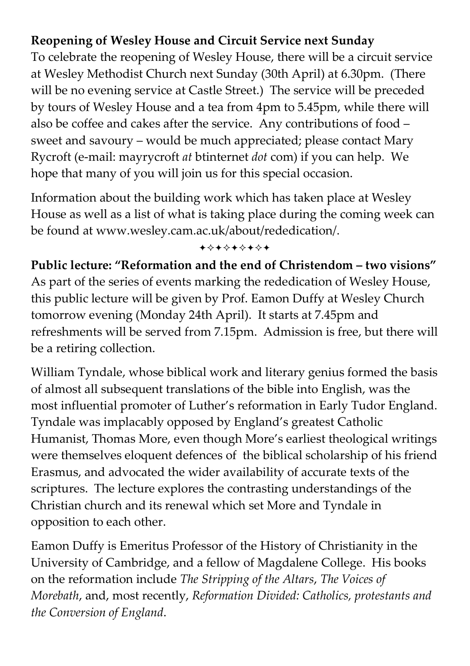### **Reopening of Wesley House and Circuit Service next Sunday**

To celebrate the reopening of Wesley House, there will be a circuit service at Wesley Methodist Church next Sunday (30th April) at 6.30pm. (There will be no evening service at Castle Street.) The service will be preceded by tours of Wesley House and a tea from 4pm to 5.45pm, while there will also be coffee and cakes after the service. Any contributions of food – sweet and savoury – would be much appreciated; please contact Mary Rycroft (e-mail: mayrycroft *at* btinternet *dot* com) if you can help. We hope that many of you will join us for this special occasion.

Information about the building work which has taken place at Wesley House as well as a list of what is taking place during the coming week can be found at www.wesley.cam.ac.uk/about/rededication/.

+\*\*\*\*\*\*\*

**Public lecture: "Reformation and the end of Christendom – two visions"**  As part of the series of events marking the rededication of Wesley House, this public lecture will be given by Prof. Eamon Duffy at Wesley Church tomorrow evening (Monday 24th April). It starts at 7.45pm and refreshments will be served from 7.15pm. Admission is free, but there will be a retiring collection.

William Tyndale, whose biblical work and literary genius formed the basis of almost all subsequent translations of the bible into English, was the most influential promoter of Luther's reformation in Early Tudor England. Tyndale was implacably opposed by England's greatest Catholic Humanist, Thomas More, even though More's earliest theological writings were themselves eloquent defences of the biblical scholarship of his friend Erasmus, and advocated the wider availability of accurate texts of the scriptures. The lecture explores the contrasting understandings of the Christian church and its renewal which set More and Tyndale in opposition to each other.

Eamon Duffy is Emeritus Professor of the History of Christianity in the University of Cambridge, and a fellow of Magdalene College. His books on the reformation include *The Stripping of the Altars*, *The Voices of Morebath*, and, most recently, *Reformation Divided: Catholics, protestants and the Conversion of England*.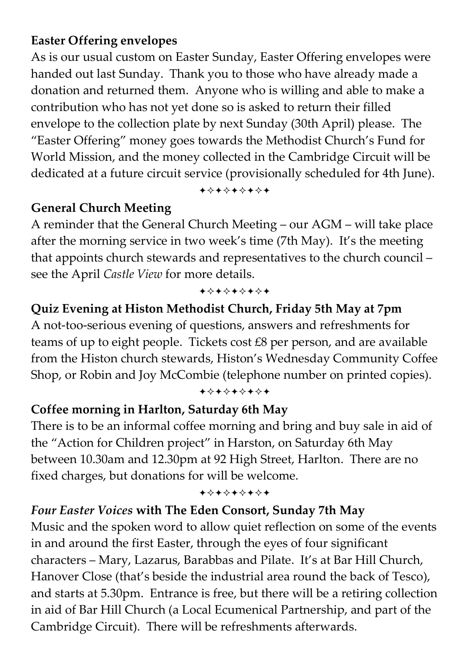#### **Easter Offering envelopes**

As is our usual custom on Easter Sunday, Easter Offering envelopes were handed out last Sunday. Thank you to those who have already made a donation and returned them. Anyone who is willing and able to make a contribution who has not yet done so is asked to return their filled envelope to the collection plate by next Sunday (30th April) please. The "Easter Offering" money goes towards the Methodist Church's Fund for World Mission, and the money collected in the Cambridge Circuit will be dedicated at a future circuit service (provisionally scheduled for 4th June).

+\*\*\*\*\*\*\*

#### **General Church Meeting**

A reminder that the General Church Meeting – our AGM – will take place after the morning service in two week's time (7th May). It's the meeting that appoints church stewards and representatives to the church council – see the April *Castle View* for more details.

+\*\*\*\*\*\*\*

## **Quiz Evening at Histon Methodist Church, Friday 5th May at 7pm**

A not-too-serious evening of questions, answers and refreshments for teams of up to eight people. Tickets cost £8 per person, and are available from the Histon church stewards, Histon's Wednesday Community Coffee Shop, or Robin and Joy McCombie (telephone number on printed copies).

#### +\*\*\*\*\*\*\*

#### **Coffee morning in Harlton, Saturday 6th May**

There is to be an informal coffee morning and bring and buy sale in aid of the "Action for Children project" in Harston, on Saturday 6th May between 10.30am and 12.30pm at 92 High Street, Harlton. There are no fixed charges, but donations for will be welcome.

#### +\*+\*\*\*\*\*

#### *Four Easter Voices* **with The Eden Consort, Sunday 7th May**

Music and the spoken word to allow quiet reflection on some of the events in and around the first Easter, through the eyes of four significant characters – Mary, Lazarus, Barabbas and Pilate. It's at Bar Hill Church, Hanover Close (that's beside the industrial area round the back of Tesco), and starts at 5.30pm. Entrance is free, but there will be a retiring collection in aid of Bar Hill Church (a Local Ecumenical Partnership, and part of the Cambridge Circuit). There will be refreshments afterwards.